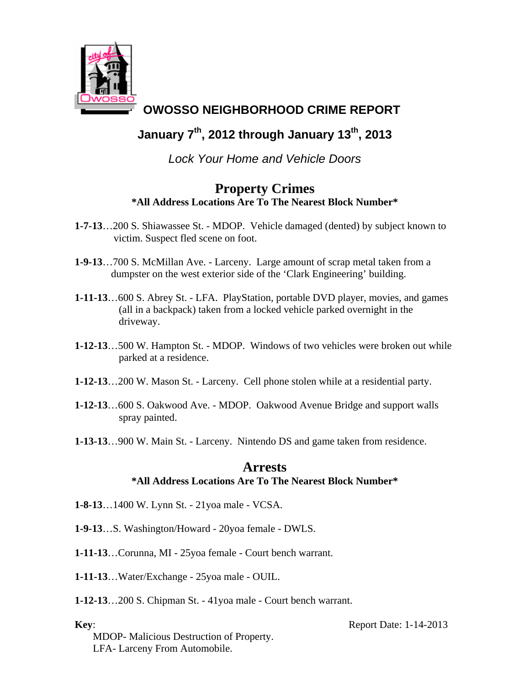

## **OWOSSO NEIGHBORHOOD CRIME REPORT**

## **January 7th, 2012 through January 13th, 2013**

*Lock Your Home and Vehicle Doors* 

## **Property Crimes \*All Address Locations Are To The Nearest Block Number\***

- **1-7-13**…200 S. Shiawassee St. MDOP. Vehicle damaged (dented) by subject known to victim. Suspect fled scene on foot.
- **1-9-13**…700 S. McMillan Ave. Larceny. Large amount of scrap metal taken from a dumpster on the west exterior side of the 'Clark Engineering' building.
- **1-11-13**…600 S. Abrey St. LFA. PlayStation, portable DVD player, movies, and games (all in a backpack) taken from a locked vehicle parked overnight in the driveway.
- **1-12-13**…500 W. Hampton St. MDOP. Windows of two vehicles were broken out while parked at a residence.
- **1-12-13**…200 W. Mason St. Larceny. Cell phone stolen while at a residential party.
- **1-12-13**…600 S. Oakwood Ave. MDOP. Oakwood Avenue Bridge and support walls spray painted.
- **1-13-13**…900 W. Main St. Larceny. Nintendo DS and game taken from residence.

## **Arrests \*All Address Locations Are To The Nearest Block Number\***

- **1-8-13**…1400 W. Lynn St. 21yoa male VCSA.
- **1-9-13**…S. Washington/Howard 20yoa female DWLS.
- **1-11-13**…Corunna, MI 25yoa female Court bench warrant.
- **1-11-13**…Water/Exchange 25yoa male OUIL.
- **1-12-13**…200 S. Chipman St. 41yoa male Court bench warrant.

 MDOP- Malicious Destruction of Property. LFA- Larceny From Automobile.

**Key**: Report Date: 1-14-2013